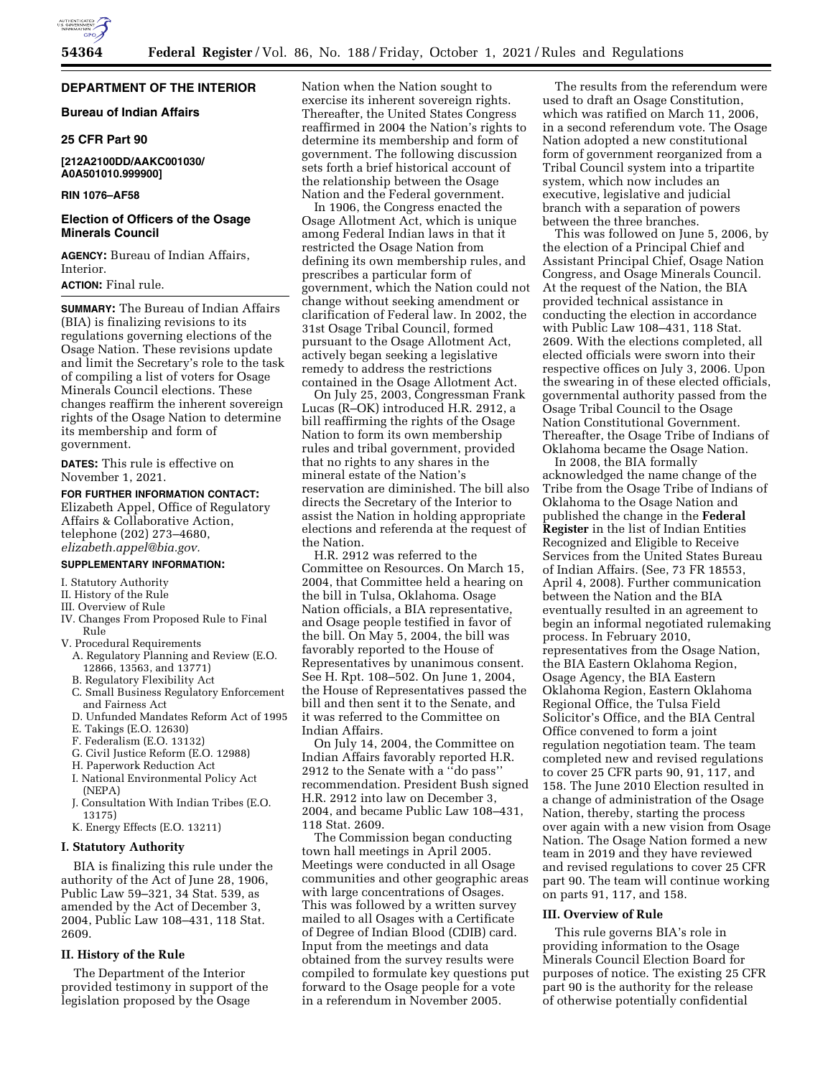

## **DEPARTMENT OF THE INTERIOR**

**Bureau of Indian Affairs** 

### **25 CFR Part 90**

### **[212A2100DD/AAKC001030/ A0A501010.999900]**

### **RIN 1076–AF58**

### **Election of Officers of the Osage Minerals Council**

**AGENCY:** Bureau of Indian Affairs, Interior.

# **ACTION:** Final rule.

**SUMMARY:** The Bureau of Indian Affairs (BIA) is finalizing revisions to its regulations governing elections of the Osage Nation. These revisions update and limit the Secretary's role to the task of compiling a list of voters for Osage Minerals Council elections. These changes reaffirm the inherent sovereign rights of the Osage Nation to determine its membership and form of government.

**DATES:** This rule is effective on November 1, 2021.

## **FOR FURTHER INFORMATION CONTACT:**

Elizabeth Appel, Office of Regulatory Affairs & Collaborative Action, telephone (202) 273–4680, *[elizabeth.appel@bia.gov.](mailto:elizabeth.appel@bia.gov)* 

### **SUPPLEMENTARY INFORMATION:**

- I. Statutory Authority
- II. History of the Rule
- III. Overview of Rule
- IV. Changes From Proposed Rule to Final Rule
- V. Procedural Requirements
	- A. Regulatory Planning and Review (E.O. 12866, 13563, and 13771)
	- B. Regulatory Flexibility Act
	- C. Small Business Regulatory Enforcement and Fairness Act
	- D. Unfunded Mandates Reform Act of 1995
	- E. Takings (E.O. 12630)
	- F. Federalism (E.O. 13132)
	- G. Civil Justice Reform (E.O. 12988)
	- H. Paperwork Reduction Act
	- I. National Environmental Policy Act
	- (NEPA) J. Consultation With Indian Tribes (E.O. 13175)
	- K. Energy Effects (E.O. 13211)

# **I. Statutory Authority**

BIA is finalizing this rule under the authority of the Act of June 28, 1906, Public Law 59–321, 34 Stat. 539, as amended by the Act of December 3, 2004, Public Law 108–431, 118 Stat. 2609.

# **II. History of the Rule**

The Department of the Interior provided testimony in support of the legislation proposed by the Osage

Nation when the Nation sought to exercise its inherent sovereign rights. Thereafter, the United States Congress reaffirmed in 2004 the Nation's rights to determine its membership and form of government. The following discussion sets forth a brief historical account of the relationship between the Osage Nation and the Federal government.

In 1906, the Congress enacted the Osage Allotment Act, which is unique among Federal Indian laws in that it restricted the Osage Nation from defining its own membership rules, and prescribes a particular form of government, which the Nation could not change without seeking amendment or clarification of Federal law. In 2002, the 31st Osage Tribal Council, formed pursuant to the Osage Allotment Act, actively began seeking a legislative remedy to address the restrictions contained in the Osage Allotment Act.

On July 25, 2003, Congressman Frank Lucas (R–OK) introduced H.R. 2912, a bill reaffirming the rights of the Osage Nation to form its own membership rules and tribal government, provided that no rights to any shares in the mineral estate of the Nation's reservation are diminished. The bill also directs the Secretary of the Interior to assist the Nation in holding appropriate elections and referenda at the request of the Nation.

H.R. 2912 was referred to the Committee on Resources. On March 15, 2004, that Committee held a hearing on the bill in Tulsa, Oklahoma. Osage Nation officials, a BIA representative, and Osage people testified in favor of the bill. On May 5, 2004, the bill was favorably reported to the House of Representatives by unanimous consent. See H. Rpt. 108–502. On June 1, 2004, the House of Representatives passed the bill and then sent it to the Senate, and it was referred to the Committee on Indian Affairs.

On July 14, 2004, the Committee on Indian Affairs favorably reported H.R. 2912 to the Senate with a ''do pass'' recommendation. President Bush signed H.R. 2912 into law on December 3, 2004, and became Public Law 108–431, 118 Stat. 2609.

The Commission began conducting town hall meetings in April 2005. Meetings were conducted in all Osage communities and other geographic areas with large concentrations of Osages. This was followed by a written survey mailed to all Osages with a Certificate of Degree of Indian Blood (CDIB) card. Input from the meetings and data obtained from the survey results were compiled to formulate key questions put forward to the Osage people for a vote in a referendum in November 2005.

The results from the referendum were used to draft an Osage Constitution, which was ratified on March 11, 2006, in a second referendum vote. The Osage Nation adopted a new constitutional form of government reorganized from a Tribal Council system into a tripartite system, which now includes an executive, legislative and judicial branch with a separation of powers between the three branches.

This was followed on June 5, 2006, by the election of a Principal Chief and Assistant Principal Chief, Osage Nation Congress, and Osage Minerals Council. At the request of the Nation, the BIA provided technical assistance in conducting the election in accordance with Public Law 108–431, 118 Stat. 2609. With the elections completed, all elected officials were sworn into their respective offices on July 3, 2006. Upon the swearing in of these elected officials, governmental authority passed from the Osage Tribal Council to the Osage Nation Constitutional Government. Thereafter, the Osage Tribe of Indians of Oklahoma became the Osage Nation.

In 2008, the BIA formally acknowledged the name change of the Tribe from the Osage Tribe of Indians of Oklahoma to the Osage Nation and published the change in the **Federal Register** in the list of Indian Entities Recognized and Eligible to Receive Services from the United States Bureau of Indian Affairs. (See, 73 FR 18553, April 4, 2008). Further communication between the Nation and the BIA eventually resulted in an agreement to begin an informal negotiated rulemaking process. In February 2010, representatives from the Osage Nation, the BIA Eastern Oklahoma Region, Osage Agency, the BIA Eastern Oklahoma Region, Eastern Oklahoma Regional Office, the Tulsa Field Solicitor's Office, and the BIA Central Office convened to form a joint regulation negotiation team. The team completed new and revised regulations to cover 25 CFR parts 90, 91, 117, and 158. The June 2010 Election resulted in a change of administration of the Osage Nation, thereby, starting the process over again with a new vision from Osage Nation. The Osage Nation formed a new team in 2019 and they have reviewed and revised regulations to cover 25 CFR part 90. The team will continue working on parts 91, 117, and 158.

#### **III. Overview of Rule**

This rule governs BIA's role in providing information to the Osage Minerals Council Election Board for purposes of notice. The existing 25 CFR part 90 is the authority for the release of otherwise potentially confidential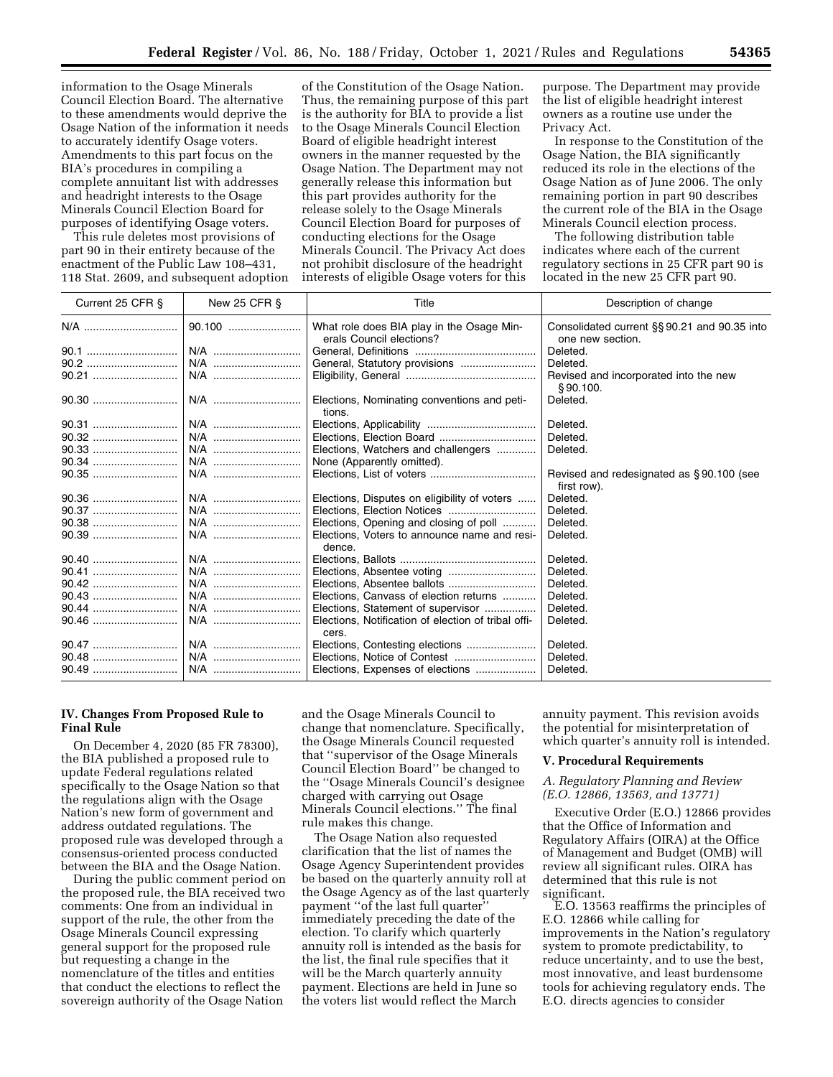information to the Osage Minerals Council Election Board. The alternative to these amendments would deprive the Osage Nation of the information it needs to accurately identify Osage voters. Amendments to this part focus on the BIA's procedures in compiling a complete annuitant list with addresses and headright interests to the Osage Minerals Council Election Board for purposes of identifying Osage voters.

This rule deletes most provisions of part 90 in their entirety because of the enactment of the Public Law 108–431, 118 Stat. 2609, and subsequent adoption

of the Constitution of the Osage Nation. Thus, the remaining purpose of this part is the authority for BIA to provide a list to the Osage Minerals Council Election Board of eligible headright interest owners in the manner requested by the Osage Nation. The Department may not generally release this information but this part provides authority for the release solely to the Osage Minerals Council Election Board for purposes of conducting elections for the Osage Minerals Council. The Privacy Act does not prohibit disclosure of the headright interests of eligible Osage voters for this

purpose. The Department may provide the list of eligible headright interest owners as a routine use under the Privacy Act.

In response to the Constitution of the Osage Nation, the BIA significantly reduced its role in the elections of the Osage Nation as of June 2006. The only remaining portion in part 90 describes the current role of the BIA in the Osage Minerals Council election process.

The following distribution table indicates where each of the current regulatory sections in 25 CFR part 90 is located in the new 25 CFR part 90.

| Current 25 CFR § | New 25 CFR § | Title                                                                 | Description of change                                            |
|------------------|--------------|-----------------------------------------------------------------------|------------------------------------------------------------------|
| N/A              | 90.100       | What role does BIA play in the Osage Min-<br>erals Council elections? | Consolidated current §§ 90.21 and 90.35 into<br>one new section. |
|                  | N/A          |                                                                       | Deleted.                                                         |
|                  | N/A          |                                                                       | Deleted.                                                         |
| 90.21            | N/A          |                                                                       | Revised and incorporated into the new<br>\$90.100.               |
|                  |              | Elections, Nominating conventions and peti-<br>tions.                 | Deleted.                                                         |
| 90.31            | N/A          |                                                                       | Deleted.                                                         |
| 90.32            | N/A          |                                                                       | Deleted.                                                         |
|                  | N/A          | Elections, Watchers and challengers                                   | Deleted.                                                         |
|                  | N/A          | None (Apparently omitted).                                            |                                                                  |
| 90.35            | N/A          |                                                                       | Revised and redesignated as §90.100 (see<br>first row).          |
|                  | N/A          | Elections, Disputes on eligibility of voters                          | Deleted.                                                         |
|                  |              |                                                                       | Deleted.                                                         |
| 90.38            | N/A          | Elections, Opening and closing of poll                                | Deleted.                                                         |
|                  | N/A          | Elections. Voters to announce name and resi-<br>dence.                | Deleted.                                                         |
|                  | N/A          |                                                                       | Deleted.                                                         |
| 90.41            | N/A          | Elections, Absentee voting                                            | Deleted.                                                         |
| 90.42            | N/A          |                                                                       | Deleted.                                                         |
| 90.43            |              | Elections, Canvass of election returns                                | Deleted.                                                         |
| 90.44            | N/A          | Elections, Statement of supervisor                                    | Deleted.                                                         |
|                  | N/A          | Elections, Notification of election of tribal offi-<br>cers.          | Deleted.                                                         |
| 90.47            | N/A          | Elections, Contesting elections                                       | Deleted.                                                         |
| 90.48            | N/A          |                                                                       | Deleted.                                                         |
| 90.49            | N/A          | Elections, Expenses of elections                                      | Deleted.                                                         |

## **IV. Changes From Proposed Rule to Final Rule**

On December 4, 2020 (85 FR 78300), the BIA published a proposed rule to update Federal regulations related specifically to the Osage Nation so that the regulations align with the Osage Nation's new form of government and address outdated regulations. The proposed rule was developed through a consensus-oriented process conducted between the BIA and the Osage Nation.

During the public comment period on the proposed rule, the BIA received two comments: One from an individual in support of the rule, the other from the Osage Minerals Council expressing general support for the proposed rule but requesting a change in the nomenclature of the titles and entities that conduct the elections to reflect the sovereign authority of the Osage Nation

and the Osage Minerals Council to change that nomenclature. Specifically, the Osage Minerals Council requested that ''supervisor of the Osage Minerals Council Election Board'' be changed to the ''Osage Minerals Council's designee charged with carrying out Osage Minerals Council elections.'' The final rule makes this change.

The Osage Nation also requested clarification that the list of names the Osage Agency Superintendent provides be based on the quarterly annuity roll at the Osage Agency as of the last quarterly payment ''of the last full quarter'' immediately preceding the date of the election. To clarify which quarterly annuity roll is intended as the basis for the list, the final rule specifies that it will be the March quarterly annuity payment. Elections are held in June so the voters list would reflect the March

annuity payment. This revision avoids the potential for misinterpretation of which quarter's annuity roll is intended.

### **V. Procedural Requirements**

*A. Regulatory Planning and Review (E.O. 12866, 13563, and 13771)* 

Executive Order (E.O.) 12866 provides that the Office of Information and Regulatory Affairs (OIRA) at the Office of Management and Budget (OMB) will review all significant rules. OIRA has determined that this rule is not significant.

E.O. 13563 reaffirms the principles of E.O. 12866 while calling for improvements in the Nation's regulatory system to promote predictability, to reduce uncertainty, and to use the best, most innovative, and least burdensome tools for achieving regulatory ends. The E.O. directs agencies to consider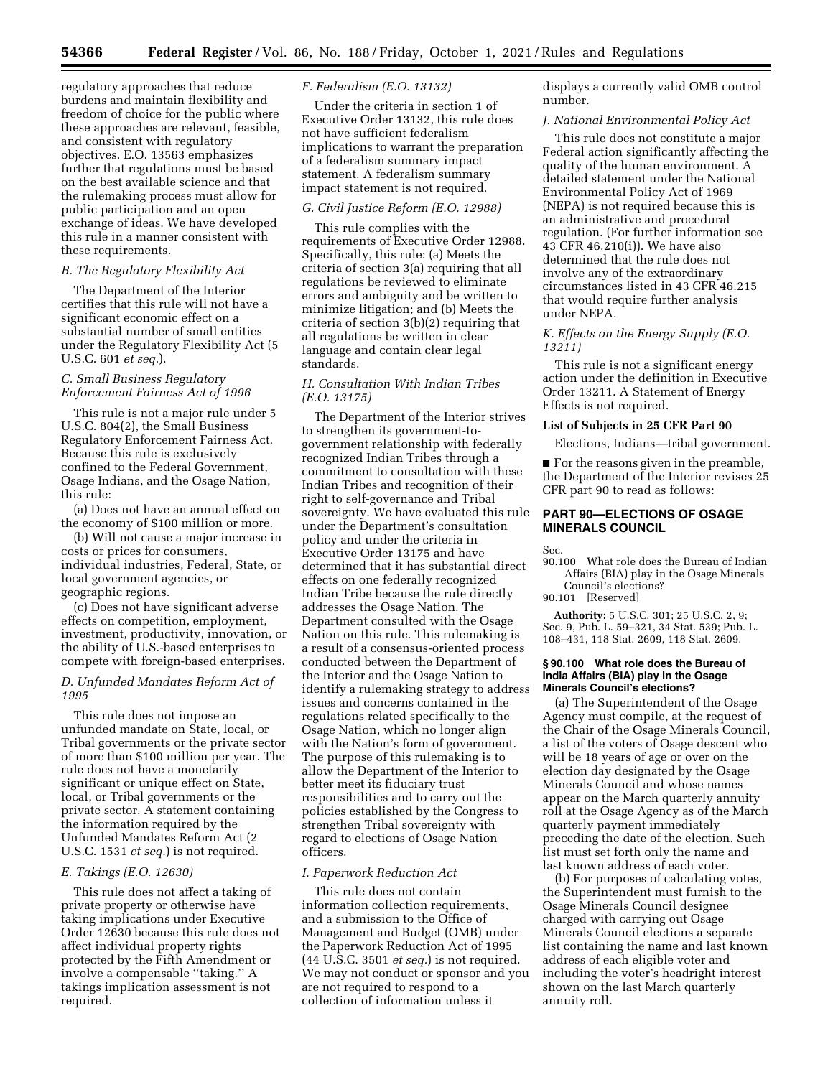regulatory approaches that reduce burdens and maintain flexibility and freedom of choice for the public where these approaches are relevant, feasible, and consistent with regulatory objectives. E.O. 13563 emphasizes further that regulations must be based on the best available science and that the rulemaking process must allow for public participation and an open exchange of ideas. We have developed this rule in a manner consistent with these requirements.

### *B. The Regulatory Flexibility Act*

The Department of the Interior certifies that this rule will not have a significant economic effect on a substantial number of small entities under the Regulatory Flexibility Act (5 U.S.C. 601 *et seq.*).

## *C. Small Business Regulatory Enforcement Fairness Act of 1996*

This rule is not a major rule under 5 U.S.C. 804(2), the Small Business Regulatory Enforcement Fairness Act. Because this rule is exclusively confined to the Federal Government, Osage Indians, and the Osage Nation, this rule:

(a) Does not have an annual effect on the economy of \$100 million or more.

(b) Will not cause a major increase in costs or prices for consumers, individual industries, Federal, State, or local government agencies, or geographic regions.

(c) Does not have significant adverse effects on competition, employment, investment, productivity, innovation, or the ability of U.S.-based enterprises to compete with foreign-based enterprises.

## *D. Unfunded Mandates Reform Act of 1995*

This rule does not impose an unfunded mandate on State, local, or Tribal governments or the private sector of more than \$100 million per year. The rule does not have a monetarily significant or unique effect on State, local, or Tribal governments or the private sector. A statement containing the information required by the Unfunded Mandates Reform Act (2 U.S.C. 1531 *et seq.*) is not required.

### *E. Takings (E.O. 12630)*

This rule does not affect a taking of private property or otherwise have taking implications under Executive Order 12630 because this rule does not affect individual property rights protected by the Fifth Amendment or involve a compensable ''taking.'' A takings implication assessment is not required.

## *F. Federalism (E.O. 13132)*

Under the criteria in section 1 of Executive Order 13132, this rule does not have sufficient federalism implications to warrant the preparation of a federalism summary impact statement. A federalism summary impact statement is not required.

## *G. Civil Justice Reform (E.O. 12988)*

This rule complies with the requirements of Executive Order 12988. Specifically, this rule: (a) Meets the criteria of section 3(a) requiring that all regulations be reviewed to eliminate errors and ambiguity and be written to minimize litigation; and (b) Meets the criteria of section 3(b)(2) requiring that all regulations be written in clear language and contain clear legal standards.

## *H. Consultation With Indian Tribes (E.O. 13175)*

The Department of the Interior strives to strengthen its government-togovernment relationship with federally recognized Indian Tribes through a commitment to consultation with these Indian Tribes and recognition of their right to self-governance and Tribal sovereignty. We have evaluated this rule under the Department's consultation policy and under the criteria in Executive Order 13175 and have determined that it has substantial direct effects on one federally recognized Indian Tribe because the rule directly addresses the Osage Nation. The Department consulted with the Osage Nation on this rule. This rulemaking is a result of a consensus-oriented process conducted between the Department of the Interior and the Osage Nation to identify a rulemaking strategy to address issues and concerns contained in the regulations related specifically to the Osage Nation, which no longer align with the Nation's form of government. The purpose of this rulemaking is to allow the Department of the Interior to better meet its fiduciary trust responsibilities and to carry out the policies established by the Congress to strengthen Tribal sovereignty with regard to elections of Osage Nation officers.

# *I. Paperwork Reduction Act*

This rule does not contain information collection requirements, and a submission to the Office of Management and Budget (OMB) under the Paperwork Reduction Act of 1995 (44 U.S.C. 3501 *et seq.*) is not required. We may not conduct or sponsor and you are not required to respond to a collection of information unless it

displays a currently valid OMB control number.

#### *J. National Environmental Policy Act*

This rule does not constitute a major Federal action significantly affecting the quality of the human environment. A detailed statement under the National Environmental Policy Act of 1969 (NEPA) is not required because this is an administrative and procedural regulation. (For further information see 43 CFR 46.210(i)). We have also determined that the rule does not involve any of the extraordinary circumstances listed in 43 CFR 46.215 that would require further analysis under NEPA.

## *K. Effects on the Energy Supply (E.O. 13211)*

This rule is not a significant energy action under the definition in Executive Order 13211. A Statement of Energy Effects is not required.

#### **List of Subjects in 25 CFR Part 90**

Elections, Indians—tribal government.

■ For the reasons given in the preamble, the Department of the Interior revises 25 CFR part 90 to read as follows:

# **PART 90—ELECTIONS OF OSAGE MINERALS COUNCIL**

Sec.

90.100 What role does the Bureau of Indian Affairs (BIA) play in the Osage Minerals Council's elections?

90.101 [Reserved]

**Authority:** 5 U.S.C. 301; 25 U.S.C. 2, 9; Sec. 9, Pub. L. 59–321, 34 Stat. 539; Pub. L. 108–431, 118 Stat. 2609, 118 Stat. 2609.

#### **§ 90.100 What role does the Bureau of India Affairs (BIA) play in the Osage Minerals Council's elections?**

(a) The Superintendent of the Osage Agency must compile, at the request of the Chair of the Osage Minerals Council, a list of the voters of Osage descent who will be 18 years of age or over on the election day designated by the Osage Minerals Council and whose names appear on the March quarterly annuity roll at the Osage Agency as of the March quarterly payment immediately preceding the date of the election. Such list must set forth only the name and last known address of each voter.

(b) For purposes of calculating votes, the Superintendent must furnish to the Osage Minerals Council designee charged with carrying out Osage Minerals Council elections a separate list containing the name and last known address of each eligible voter and including the voter's headright interest shown on the last March quarterly annuity roll.